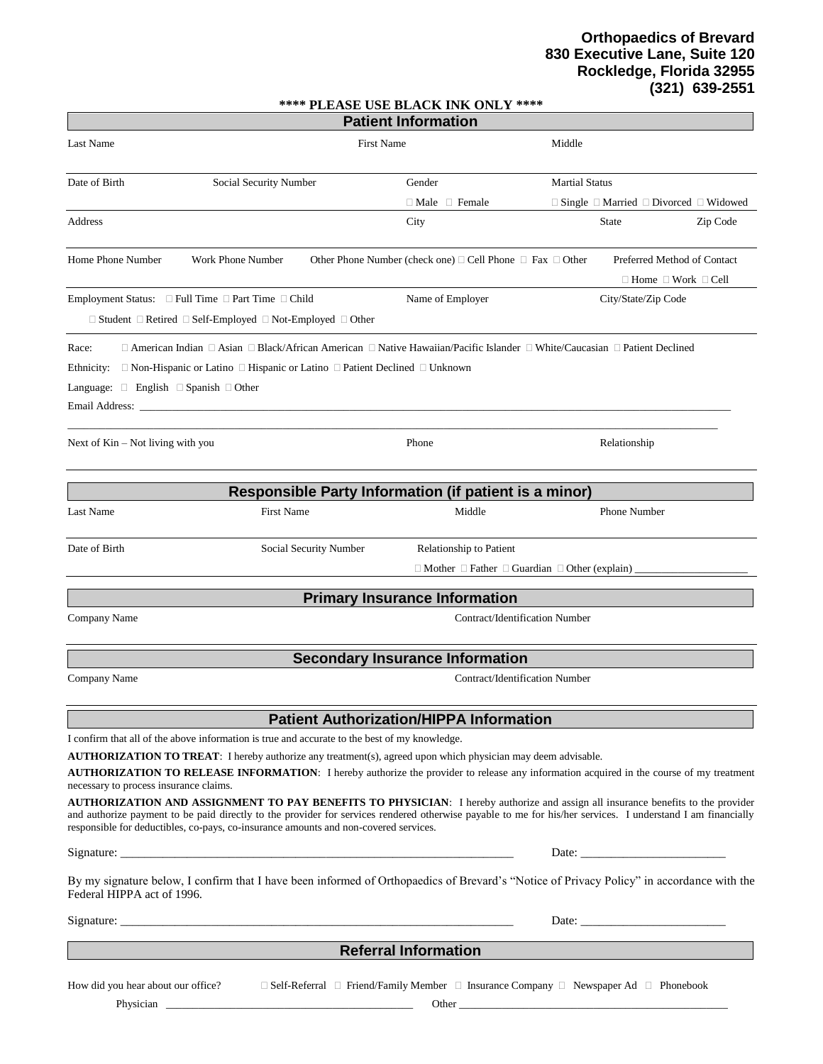#### **Orthopaedics of Brevard 830 Executive Lane, Suite 120 Rockledge, Florida 32955 (321) 639-2551**

#### **\*\*\*\* PLEASE USE BLACK INK ONLY \*\*\*\***

|                                                                             |                                                                                                                                                                                                                                                                                                                                                                                                                                                                                              | PLEASE USE DLAUN INN UNL I                                                                                     |                       |                                                                    |          |
|-----------------------------------------------------------------------------|----------------------------------------------------------------------------------------------------------------------------------------------------------------------------------------------------------------------------------------------------------------------------------------------------------------------------------------------------------------------------------------------------------------------------------------------------------------------------------------------|----------------------------------------------------------------------------------------------------------------|-----------------------|--------------------------------------------------------------------|----------|
|                                                                             |                                                                                                                                                                                                                                                                                                                                                                                                                                                                                              | <b>Patient Information</b>                                                                                     |                       |                                                                    |          |
| Last Name                                                                   |                                                                                                                                                                                                                                                                                                                                                                                                                                                                                              | <b>First Name</b>                                                                                              |                       |                                                                    |          |
| Date of Birth                                                               | Social Security Number                                                                                                                                                                                                                                                                                                                                                                                                                                                                       | Gender                                                                                                         | <b>Martial Status</b> |                                                                    |          |
|                                                                             |                                                                                                                                                                                                                                                                                                                                                                                                                                                                                              | $\Box$ Male $\Box$ Female                                                                                      |                       | $\Box$ Single $\Box$ Married $\Box$ Divorced $\Box$ Widowed        |          |
| Address                                                                     |                                                                                                                                                                                                                                                                                                                                                                                                                                                                                              | City                                                                                                           |                       | <b>State</b>                                                       | Zip Code |
| Home Phone Number                                                           | Work Phone Number                                                                                                                                                                                                                                                                                                                                                                                                                                                                            | Other Phone Number (check one) $\Box$ Cell Phone $\Box$ Fax $\Box$ Other                                       |                       | Preferred Method of Contact<br>$\Box$ Home $\Box$ Work $\Box$ Cell |          |
|                                                                             | Employment Status: $\Box$ Full Time $\Box$ Part Time $\Box$ Child<br>$\Box$ Student $\Box$ Retired $\Box$ Self-Employed $\Box$ Not-Employed $\Box$ Other                                                                                                                                                                                                                                                                                                                                     | Name of Employer                                                                                               |                       | City/State/Zip Code                                                |          |
| Race:<br>Ethnicity:<br>Language: $\Box$ English $\Box$ Spanish $\Box$ Other | $\Box$ American Indian $\Box$ Asian $\Box$ Black/African American $\Box$ Native Hawaiian/Pacific Islander $\Box$ White/Caucasian $\Box$ Patient Declined<br>$\Box$ Non-Hispanic or Latino $\Box$ Hispanic or Latino $\Box$ Patient Declined $\Box$ Unknown<br>Email Address: The Second Seconds of the Seconds of the Seconds of the Seconds of the Seconds of the Seconds of the Seconds of the Seconds of the Seconds of the Seconds of the Seconds of the Seconds of the Seconds of the S |                                                                                                                |                       |                                                                    |          |
| Next of $Kin - Not$ living with you                                         |                                                                                                                                                                                                                                                                                                                                                                                                                                                                                              | Phone                                                                                                          |                       | Relationship                                                       |          |
|                                                                             |                                                                                                                                                                                                                                                                                                                                                                                                                                                                                              | Responsible Party Information (if patient is a minor)                                                          |                       |                                                                    |          |
| Last Name                                                                   | <b>First Name</b>                                                                                                                                                                                                                                                                                                                                                                                                                                                                            | Middle                                                                                                         |                       | Phone Number                                                       |          |
| Date of Birth                                                               | Social Security Number                                                                                                                                                                                                                                                                                                                                                                                                                                                                       | Relationship to Patient                                                                                        |                       |                                                                    |          |
|                                                                             |                                                                                                                                                                                                                                                                                                                                                                                                                                                                                              | $\Box$ Mother $\Box$ Father $\Box$ Guardian $\Box$ Other (explain)                                             |                       |                                                                    |          |
|                                                                             |                                                                                                                                                                                                                                                                                                                                                                                                                                                                                              | <b>Primary Insurance Information</b>                                                                           |                       |                                                                    |          |
| Company Name                                                                |                                                                                                                                                                                                                                                                                                                                                                                                                                                                                              | Contract/Identification Number                                                                                 |                       |                                                                    |          |
|                                                                             |                                                                                                                                                                                                                                                                                                                                                                                                                                                                                              | <b>Secondary Insurance Information</b>                                                                         |                       |                                                                    |          |
| Company Name                                                                |                                                                                                                                                                                                                                                                                                                                                                                                                                                                                              | <b>Contract/Identification Number</b>                                                                          |                       |                                                                    |          |
|                                                                             |                                                                                                                                                                                                                                                                                                                                                                                                                                                                                              | <b>Patient Authorization/HIPPA Information</b>                                                                 |                       |                                                                    |          |
|                                                                             | I confirm that all of the above information is true and accurate to the best of my knowledge.                                                                                                                                                                                                                                                                                                                                                                                                |                                                                                                                |                       |                                                                    |          |
|                                                                             | <b>AUTHORIZATION TO TREAT:</b> I hereby authorize any treatment(s), agreed upon which physician may deem advisable.                                                                                                                                                                                                                                                                                                                                                                          |                                                                                                                |                       |                                                                    |          |
| necessary to process insurance claims.                                      | AUTHORIZATION TO RELEASE INFORMATION: I hereby authorize the provider to release any information acquired in the course of my treatment                                                                                                                                                                                                                                                                                                                                                      |                                                                                                                |                       |                                                                    |          |
|                                                                             | AUTHORIZATION AND ASSIGNMENT TO PAY BENEFITS TO PHYSICIAN: I hereby authorize and assign all insurance benefits to the provider<br>and authorize payment to be paid directly to the provider for services rendered otherwise payable to me for his/her services. I understand I am financially<br>responsible for deductibles, co-pays, co-insurance amounts and non-covered services.                                                                                                       |                                                                                                                |                       |                                                                    |          |
|                                                                             |                                                                                                                                                                                                                                                                                                                                                                                                                                                                                              |                                                                                                                |                       |                                                                    |          |
| Federal HIPPA act of 1996.                                                  | By my signature below, I confirm that I have been informed of Orthopaedics of Brevard's "Notice of Privacy Policy" in accordance with the                                                                                                                                                                                                                                                                                                                                                    |                                                                                                                |                       |                                                                    |          |
|                                                                             |                                                                                                                                                                                                                                                                                                                                                                                                                                                                                              |                                                                                                                |                       |                                                                    |          |
|                                                                             |                                                                                                                                                                                                                                                                                                                                                                                                                                                                                              | <b>Referral Information</b>                                                                                    |                       |                                                                    |          |
|                                                                             |                                                                                                                                                                                                                                                                                                                                                                                                                                                                                              |                                                                                                                |                       |                                                                    |          |
| How did you hear about our office?                                          |                                                                                                                                                                                                                                                                                                                                                                                                                                                                                              | $\Box$ Self-Referral $\Box$ Friend/Family Member $\Box$ Insurance Company $\Box$ Newspaper Ad $\Box$ Phonebook |                       |                                                                    |          |
|                                                                             |                                                                                                                                                                                                                                                                                                                                                                                                                                                                                              | Other                                                                                                          |                       |                                                                    |          |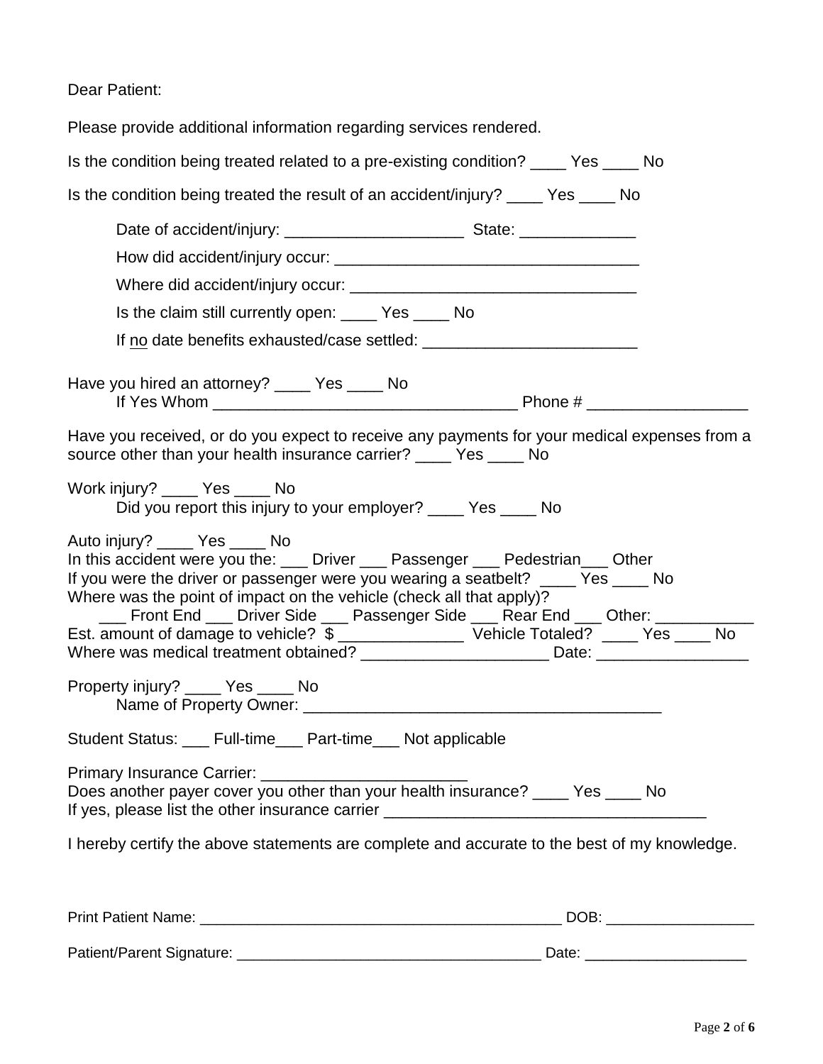Dear Patient:

| Please provide additional information regarding services rendered.                                                                                                                                                                                                                                                                                                      |
|-------------------------------------------------------------------------------------------------------------------------------------------------------------------------------------------------------------------------------------------------------------------------------------------------------------------------------------------------------------------------|
| Is the condition being treated related to a pre-existing condition? _____ Yes ____ No                                                                                                                                                                                                                                                                                   |
| Is the condition being treated the result of an accident/injury? _____ Yes _____ No                                                                                                                                                                                                                                                                                     |
|                                                                                                                                                                                                                                                                                                                                                                         |
|                                                                                                                                                                                                                                                                                                                                                                         |
|                                                                                                                                                                                                                                                                                                                                                                         |
| Is the claim still currently open: _____ Yes _____ No                                                                                                                                                                                                                                                                                                                   |
|                                                                                                                                                                                                                                                                                                                                                                         |
| Have you hired an attorney? ____ Yes ____ No                                                                                                                                                                                                                                                                                                                            |
| Have you received, or do you expect to receive any payments for your medical expenses from a<br>source other than your health insurance carrier? _____ Yes _____ No                                                                                                                                                                                                     |
| Work injury? _____ Yes _____ No<br>Did you report this injury to your employer? _____ Yes _____ No                                                                                                                                                                                                                                                                      |
| Auto injury? _____ Yes _____ No<br>In this accident were you the: ____ Driver ____ Passenger ____ Pedestrian____ Other<br>If you were the driver or passenger were you wearing a seatbelt? ____ Yes ____ No<br>Where was the point of impact on the vehicle (check all that apply)?<br>____ Front End ___ Driver Side ___ Passenger Side ___ Rear End ___ Other: ______ |
| Where was medical treatment obtained? _______________________________Date: _________________________                                                                                                                                                                                                                                                                    |
| Property injury? _____ Yes _____ No                                                                                                                                                                                                                                                                                                                                     |
| Student Status: ___ Full-time___ Part-time___ Not applicable                                                                                                                                                                                                                                                                                                            |
| Does another payer cover you other than your health insurance? ____ Yes ____ No                                                                                                                                                                                                                                                                                         |
| I hereby certify the above statements are complete and accurate to the best of my knowledge.                                                                                                                                                                                                                                                                            |
|                                                                                                                                                                                                                                                                                                                                                                         |

Patient/Parent Signature: \_\_\_\_\_\_\_\_\_\_\_\_\_\_\_\_\_\_\_\_\_\_\_\_\_\_\_\_\_\_\_\_\_\_\_\_\_ Date: \_\_\_\_\_\_\_\_\_\_\_\_\_\_\_\_\_\_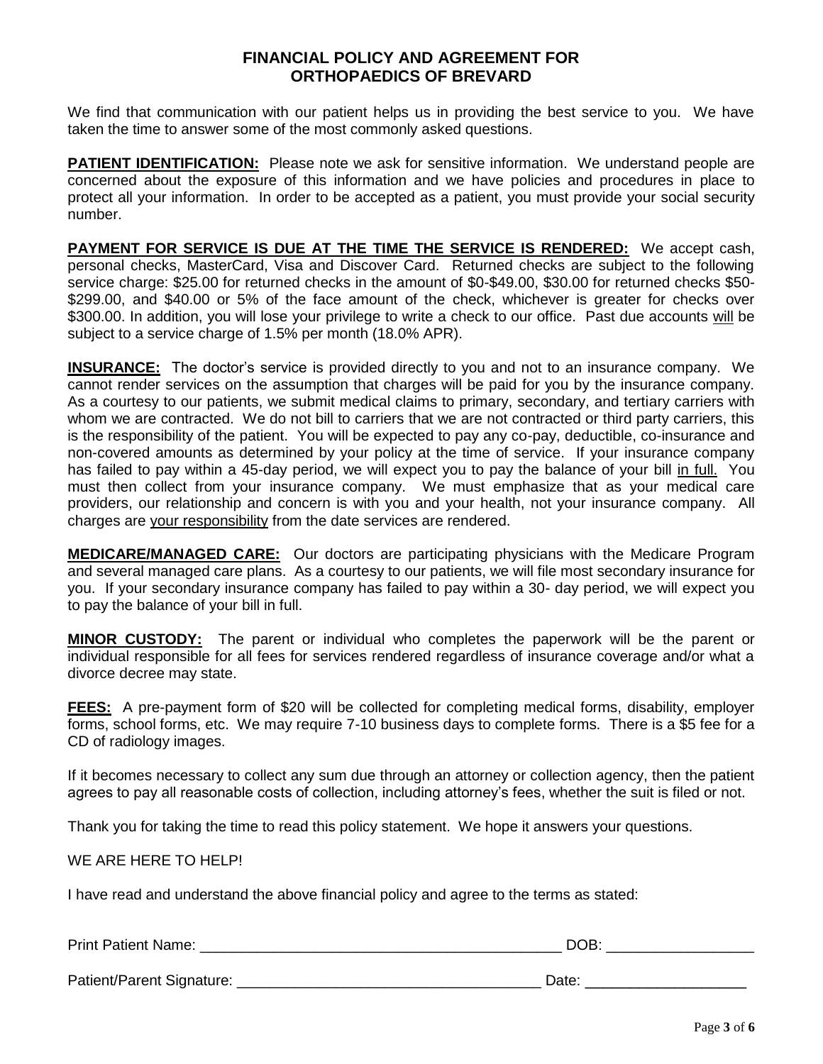### **FINANCIAL POLICY AND AGREEMENT FOR ORTHOPAEDICS OF BREVARD**

We find that communication with our patient helps us in providing the best service to you. We have taken the time to answer some of the most commonly asked questions.

**PATIENT IDENTIFICATION:** Please note we ask for sensitive information. We understand people are concerned about the exposure of this information and we have policies and procedures in place to protect all your information. In order to be accepted as a patient, you must provide your social security number.

**PAYMENT FOR SERVICE IS DUE AT THE TIME THE SERVICE IS RENDERED:** We accept cash, personal checks, MasterCard, Visa and Discover Card. Returned checks are subject to the following service charge: \$25.00 for returned checks in the amount of \$0-\$49.00, \$30.00 for returned checks \$50- \$299.00, and \$40.00 or 5% of the face amount of the check, whichever is greater for checks over \$300.00. In addition, you will lose your privilege to write a check to our office. Past due accounts will be subject to a service charge of 1.5% per month (18.0% APR).

**INSURANCE:** The doctor's service is provided directly to you and not to an insurance company. We cannot render services on the assumption that charges will be paid for you by the insurance company. As a courtesy to our patients, we submit medical claims to primary, secondary, and tertiary carriers with whom we are contracted. We do not bill to carriers that we are not contracted or third party carriers, this is the responsibility of the patient. You will be expected to pay any co-pay, deductible, co-insurance and non-covered amounts as determined by your policy at the time of service. If your insurance company has failed to pay within a 45-day period, we will expect you to pay the balance of your bill in full. You must then collect from your insurance company. We must emphasize that as your medical care providers, our relationship and concern is with you and your health, not your insurance company. All charges are your responsibility from the date services are rendered.

**MEDICARE/MANAGED CARE:** Our doctors are participating physicians with the Medicare Program and several managed care plans. As a courtesy to our patients, we will file most secondary insurance for you. If your secondary insurance company has failed to pay within a 30- day period, we will expect you to pay the balance of your bill in full.

**MINOR CUSTODY:** The parent or individual who completes the paperwork will be the parent or individual responsible for all fees for services rendered regardless of insurance coverage and/or what a divorce decree may state.

**FEES:** A pre-payment form of \$20 will be collected for completing medical forms, disability, employer forms, school forms, etc. We may require 7-10 business days to complete forms. There is a \$5 fee for a CD of radiology images.

If it becomes necessary to collect any sum due through an attorney or collection agency, then the patient agrees to pay all reasonable costs of collection, including attorney's fees, whether the suit is filed or not.

Thank you for taking the time to read this policy statement. We hope it answers your questions.

WE ARE HERE TO HELP!

I have read and understand the above financial policy and agree to the terms as stated:

| <b>Print Patient Name:</b> | ,, |
|----------------------------|----|
|----------------------------|----|

Patient/Parent Signature: \_\_\_\_\_\_\_\_\_\_\_\_\_\_\_\_\_\_\_\_\_\_\_\_\_\_\_\_\_\_\_\_\_\_\_\_\_ Date: \_\_\_\_\_\_\_\_\_\_\_\_\_\_\_\_\_\_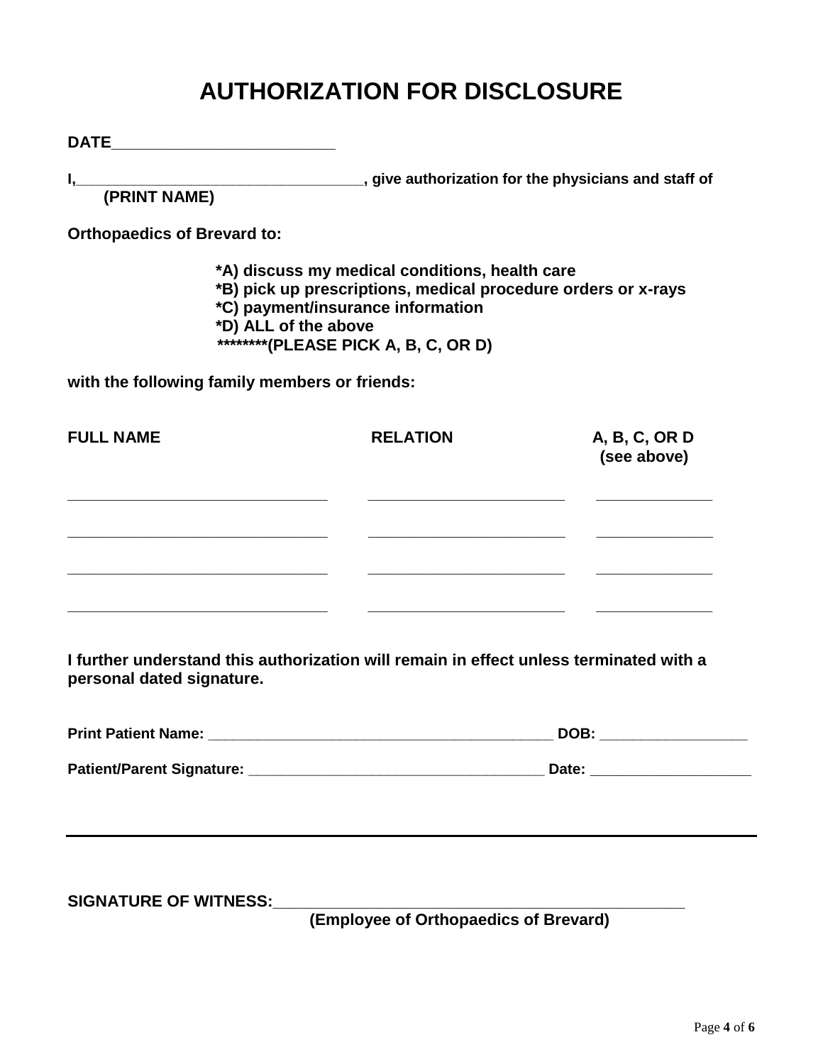## **AUTHORIZATION FOR DISCLOSURE**

**DATE\_\_\_\_\_\_\_\_\_\_\_\_\_\_\_\_\_\_\_\_\_\_\_\_\_**

**I,\_\_\_\_\_\_\_\_\_\_\_\_\_\_\_\_\_\_\_\_\_\_\_\_\_\_\_\_\_\_\_\_\_\_\_, give authorization for the physicians and staff of** 

 **(PRINT NAME)**

**Orthopaedics of Brevard to:**

 **\*A) discuss my medical conditions, health care \*B) pick up prescriptions, medical procedure orders or x-rays \*C) payment/insurance information \*D) ALL of the above \*\*\*\*\*\*\*\*(PLEASE PICK A, B, C, OR D)**

**with the following family members or friends:**

| <b>FULL NAME</b> | <b>RELATION</b> | A, B, C, OR D<br>(see above) |
|------------------|-----------------|------------------------------|
|                  |                 |                              |
|                  |                 |                              |
|                  |                 |                              |

**I further understand this authorization will remain in effect unless terminated with a personal dated signature.**

| <b>Print Patient Name:</b>       | DOB:  |  |  |
|----------------------------------|-------|--|--|
|                                  |       |  |  |
| <b>Patient/Parent Signature:</b> | Date: |  |  |

SIGNATURE OF WITNESS:

**(Employee of Orthopaedics of Brevard)**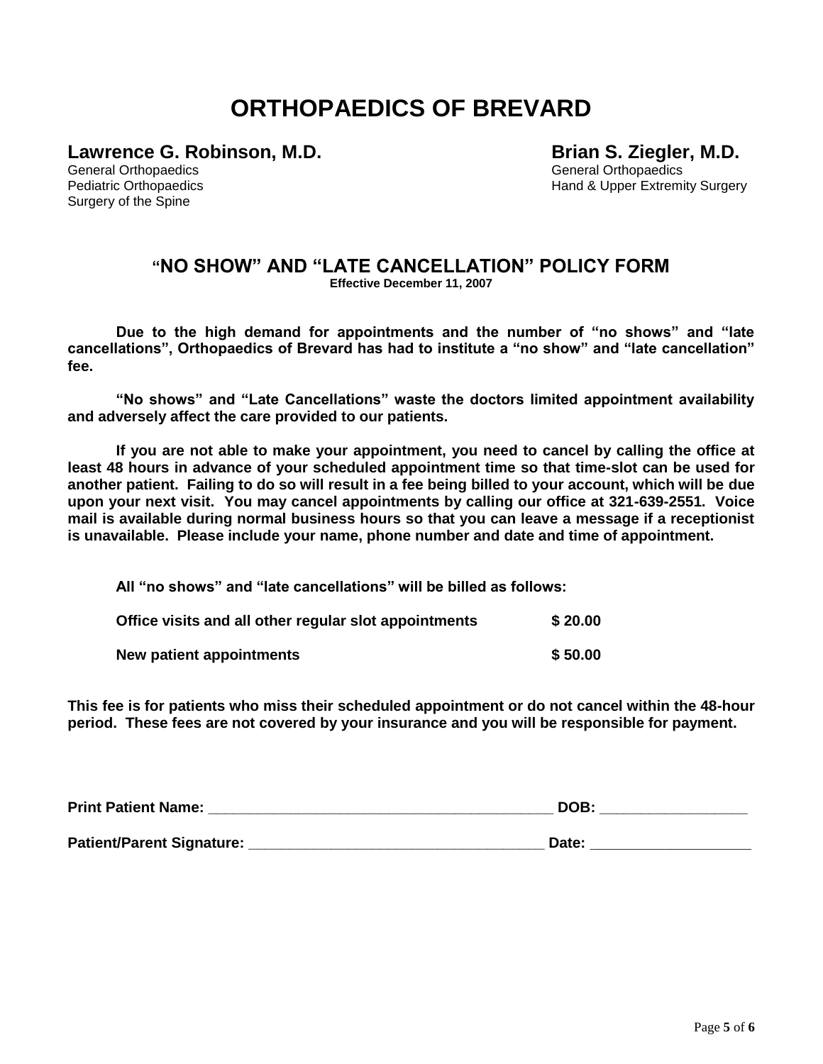## **ORTHOPAEDICS OF BREVARD**

Lawrence G. Robinson, M.D. **Brian S. Ziegler, M.D.** Brian S. Ziegler, M.D.

General Orthopaedics<br>
Pediatric Orthopaedics<br>
Pediatric Orthopaedics<br>
Content of Content of Content of Content of Content of Content of Content of Content of Content of Content of Content of Content of Content of Content o Surgery of the Spine

Hand & Upper Extremity Surgery

## **"NO SHOW" AND "LATE CANCELLATION" POLICY FORM**

**Effective December 11, 2007**

**Due to the high demand for appointments and the number of "no shows" and "late cancellations", Orthopaedics of Brevard has had to institute a "no show" and "late cancellation" fee.**

**"No shows" and "Late Cancellations" waste the doctors limited appointment availability and adversely affect the care provided to our patients.**

**If you are not able to make your appointment, you need to cancel by calling the office at least 48 hours in advance of your scheduled appointment time so that time-slot can be used for another patient. Failing to do so will result in a fee being billed to your account, which will be due upon your next visit. You may cancel appointments by calling our office at 321-639-2551. Voice mail is available during normal business hours so that you can leave a message if a receptionist is unavailable. Please include your name, phone number and date and time of appointment.**

**All "no shows" and "late cancellations" will be billed as follows:**

| Office visits and all other regular slot appointments | \$20.00 |
|-------------------------------------------------------|---------|
| New patient appointments                              | \$50.00 |

**This fee is for patients who miss their scheduled appointment or do not cancel within the 48-hour period. These fees are not covered by your insurance and you will be responsible for payment.**

| <b>Print Patient Name:</b> | DOB:  |  |  |
|----------------------------|-------|--|--|
| Patient/Parent Signature:  | Date: |  |  |